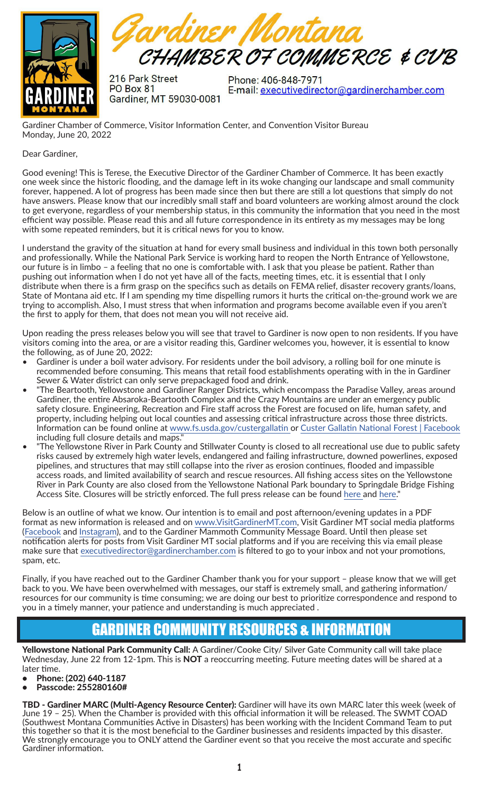

Fardiner Montana CHAMBER OF COMMERCE & CUB

216 Park Street **PO Box 81** Gardiner, MT 59030-0081

Phone: 406-848-7971 E-mail: executivedirector@gardinerchamber.com

Gardiner Chamber of Commerce, Visitor Information Center, and Convention Visitor Bureau Monday, June 20, 2022

#### Dear Gardiner,

Good evening! This is Terese, the Executive Director of the Gardiner Chamber of Commerce. It has been exactly one week since the historic flooding, and the damage left in its woke changing our landscape and small community forever, happened. A lot of progress has been made since then but there are still a lot questions that simply do not have answers. Please know that our incredibly small staff and board volunteers are working almost around the clock to get everyone, regardless of your membership status, in this community the information that you need in the most efficient way possible. Please read this and all future correspondence in its entirety as my messages may be long with some repeated reminders, but it is critical news for you to know.

I understand the gravity of the situation at hand for every small business and individual in this town both personally and professionally. While the National Park Service is working hard to reopen the North Entrance of Yellowstone, our future is in limbo – a feeling that no one is comfortable with. I ask that you please be patient. Rather than pushing out information when I do not yet have all of the facts, meeting times, etc. it is essential that I only distribute when there is a firm grasp on the specifics such as details on FEMA relief, disaster recovery grants/loans, State of Montana aid etc. If I am spending my time dispelling rumors it hurts the critical on-the-ground work we are trying to accomplish. Also, I must stress that when information and programs become available even if you aren't the first to apply for them, that does not mean you will not receive aid.

Upon reading the press releases below you will see that travel to Gardiner is now open to non residents. If you have visitors coming into the area, or are a visitor reading this, Gardiner welcomes you, however, it is essential to know the following, as of June 20, 2022:

- Gardiner is under a boil water advisory. For residents under the boil advisory, a rolling boil for one minute is recommended before consuming. This means that retail food establishments operating with in the in Gardiner Sewer & Water district can only serve prepackaged food and drink.
- "The Beartooth, Yellowstone and Gardiner Ranger Districts, which encompass the Paradise Valley, areas around Gardiner, the entire Absaroka-Beartooth Complex and the Crazy Mountains are under an emergency public safety closure. Engineering, Recreation and Fire staff across the Forest are focused on life, human safety, and property, including helping out local counties and assessing critical infrastructure across those three districts. Information can be found online at [www.fs.usda.gov/custergallatin](http://www.fs.usda.gov/custergallatin) or [Custer Gallatin National Forest | Facebook](https://www.facebook.com/CusterGallatinNationalForest) including full closure details and maps."
- "The Yellowstone River in Park County and Stillwater County is closed to all recreational use due to public safety risks caused by extremely high water levels, endangered and failing infrastructure, downed powerlines, exposed pipelines, and structures that may still collapse into the river as erosion continues, flooded and impassible access roads, and limited availability of search and rescue resources. All fishing access sites on the Yellowstone River in Park County are also closed from the Yellowstone National Park boundary to Springdale Bridge Fishing Access Site. Closures will be strictly enforced. The full press release can be found [here](http://) and [here](http://here)."

Below is an outline of what we know. Our intention is to email and post afternoon/evening updates in a PDF format as new information is released and on [www.VisitGardinerMT.com](https://www.visitgardinermt.com/), Visit Gardiner MT social media platforms ([Facebook](https://www.facebook.com/visitgardinermt) and [Instagram](https://www.instagram.com/visitgardinermt/)), and to the Gardiner Mammoth Community Message Board. Until then please set notification alerts for posts from Visit Gardiner MT social platforms and if you are receiving this via email please make sure that [executivedirector@gardinerchamber.com](mailto:executivedirector@gardinerchamber.com) is filtered to go to your inbox and not your promotions, spam, etc.

Finally, if you have reached out to the Gardiner Chamber thank you for your support – please know that we will get back to you. We have been overwhelmed with messages, our staff is extremely small, and gathering information/ resources for our community is time consuming; we are doing our best to prioritize correspondence and respond to you in a timely manner, your patience and understanding is much appreciated .

### GARDINER COMMUNITY RESOURCES & INFORMATION

Yellowstone National Park Community Call: A Gardiner/Cooke City/ Silver Gate Community call will take place Wednesday, June 22 from 12-1pm. This is NOT a reoccurring meeting. Future meeting dates will be shared at a later time.

- Phone: (202) 640-1187
- Passcode: 255280160#

TBD - Gardiner MARC (Multi-Agency Resource Center): Gardiner will have its own MARC later this week (week of June 19 – 25). When the Chamber is provided with this official information it will be released. The SWMT COAD (Southwest Montana Communities Active in Disasters) has been working with the Incident Command Team to put this together so that it is the most beneficial to the Gardiner businesses and residents impacted by this disaster. We strongly encourage you to ONLY attend the Gardiner event so that you receive the most accurate and specific Gardiner information.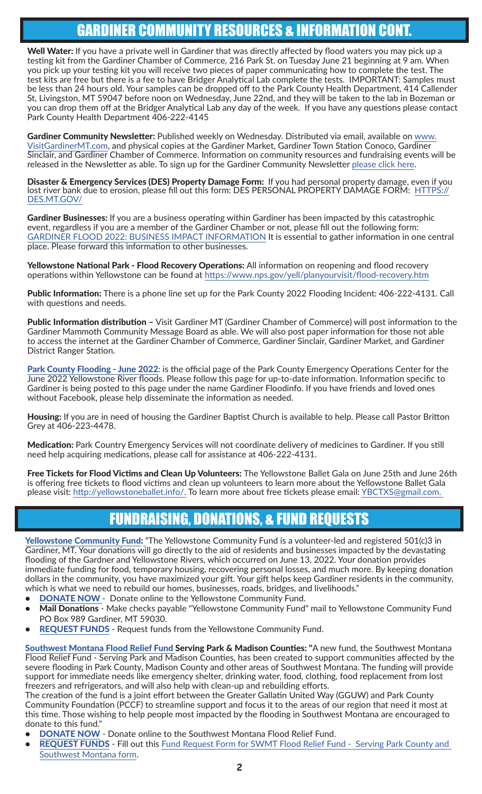# GARDINER COMMUNITY RESOURCES & INFORMATION CONT.

Well Water: If you have a private well in Gardiner that was directly affected by flood waters you may pick up a testing kit from the Gardiner Chamber of Commerce, 216 Park St. on Tuesday June 21 beginning at 9 am. When you pick up your testing kit you will receive two pieces of paper communicating how to complete the test. The test kits are free but there is a fee to have Bridger Analytical Lab complete the tests. IMPORTANT: Samples must be less than 24 hours old. Your samples can be dropped off to the Park County Health Department, 414 Callender St, Livingston, MT 59047 before noon on Wednesday, June 22nd, and they will be taken to the lab in Bozeman or you can drop them off at the Bridger Analytical Lab any day of the week. If you have any questions please contact Park County Health Department 406-222-4145

Gardiner Community Newsletter: Published weekly on Wednesday. Distributed via email, available on [www.](https://www.visitgardinermt.com/) [VisitGardinerMT.com,](https://www.visitgardinermt.com/) and physical copies at the Gardiner Market, Gardiner Town Station Conoco, Gardiner Sinclair, and Gardiner Chamber of Commerce. Information on community resources and fundraising events will be released in the Newsletter as able. To sign up for the Gardiner Community Newsletter [please click here](mailto:https://mailchi.mp/e6878aa6d085/communitynewsletter?subject=).

Disaster & Emergency Services (DES) Property Damage Form: If you had personal property damage, even if you lost river bank due to erosion, please fill out this form: DES PERSONAL PROPERTY DAMAGE FORM: [HTTPS://](HTTPS://DES.MT.GOV/  ) [DES.MT.GOV/](HTTPS://DES.MT.GOV/  )

Gardiner Businesses: If you are a business operating within Gardiner has been impacted by this catastrophic event, regardless if you are a member of the Gardiner Chamber or not, please fill out the following form: [GARDINER FLOOD 2022: BUSINESS IMPACT INFORMATION](mailto:https://forms.gle/RVJtXy2ozqZHf453A?subject=) It is essential to gather information in one central place. Please forward this information to other businesses.

Yellowstone National Park - Flood Recovery Operations: All information on reopening and flood recovery operations within Yellowstone can be found at<https://www.nps.gov/yell/planyourvisit/flood-recovery.htm>

Public Information: There is a phone line set up for the Park County 2022 Flooding Incident: 406-222-4131. Call with questions and needs.

Public Information distribution - Visit Gardiner MT (Gardiner Chamber of Commerce) will post information to the Gardiner Mammoth Community Message Board as able. We will also post paper information for those not able to access the internet at the Gardiner Chamber of Commerce, Gardiner Sinclair, Gardiner Market, and Gardiner District Ranger Station.

[Park County Flooding - June 2022](http://Park County Flooding - June 2022): is the official page of the Park County Emergency Operations Center for the June 2022 Yellowstone River floods. Please follow this page for up-to-date information. Information specific to Gardiner is being posted to this page under the name Gardiner Floodinfo. If you have friends and loved ones without Facebook, please help disseminate the information as needed.

Housing: If you are in need of housing the Gardiner Baptist Church is available to help. Please call Pastor Britton Grey at 406-223-4478.

Medication: Park Country Emergency Services will not coordinate delivery of medicines to Gardiner. If you still need help acquiring medications, please call for assistance at 406-222-4131.

Free Tickets for Flood Victims and Clean Up Volunteers: The Yellowstone Ballet Gala on June 25th and June 26th is offering free tickets to flood victims and clean up volunteers to learn more about the Yellowstone Ballet Gala please visit: [http://yellowstoneballet.info/.](mailto:http://yellowstoneballet.info/?subject=) To learn more about free tickets please email: [YBCTXS@gmail.com.](mailto:YBCTXS%40gmail.com?subject=)

# FUNDRAISING, DONATIONS, & FUND REQUESTS

[Yellowstone Community Fund:](https://www.yellowstonecommunityfund.org/) "The Yellowstone Community Fund is a volunteer-led and registered 501(c)3 in Gardiner, MT. Your donations will go directly to the aid of residents and businesses impacted by the devastating flooding of the Gardner and Yellowstone Rivers, which occurred on June 13, 2022. Your donation provides immediate funding for food, temporary housing, recovering personal losses, and much more. By keeping donation dollars in the community, you have maximized your gift. Your gift helps keep Gardiner residents in the community, which is what we need to rebuild our homes, businesses, roads, bridges, and livelihoods."

- **DONATE NOW** Donate online to the Yellowstone Community Fund.
- Mail Donations Make checks payable "Yellowstone Community Fund" mail to Yellowstone Community Fund [PO Box 989 Gardiner, MT 59030.](https://www.yellowstonecommunityfund.org/donate.html)
- REQUEST FUNDS  [Request funds from the Yellowstone Community Fund.](https://www.yellowstonecommunityfund.org/contact-us.html)

[Southwest Montana Flood Relief Fund Serving Park & Madison Countie](https://www.pccf-montana.org/programs-and-impact/flood-response/sw-montana-flood-relief-fund.html)s: "A new fund, the Southwest Montana Flood Relief Fund - Serving Park and Madison Counties, has been created to support communities affected by the severe flooding in Park County, Madison County and other areas of Southwest Montana. The funding will provide support for immediate needs like emergency shelter, drinking water, food, clothing, food replacement from lost freezers and refrigerators, and will also help with clean-up and rebuilding efforts.

The creation of the fund is a joint effort between the Greater Gallatin United Way (GGUW) and Park County Community Foundation (PCCF) to streamline support and focus it to the areas of our region that need it most at this time. Those wishing to help people most impacted by the flooding in Southwest Montana are encouraged to donate to this fund."

- **[DONATE NOW](https://app.mobilecause.com/f/3u54/n?fbclid=IwAR0kuUmD5PXNBilZogjPO4RdqQv-LZZ6pJEdHQJ2m6Xaeugfi0gdR1DrlcY&vid=sn5se)** Donate online to the Southwest Montana Flood Relief Fund.
- [REQUEST FUNDS](https://docs.google.com/forms/d/e/1FAIpQLScNUUqUN6ApFmF9WE3FLnjt5nyCbTYlLqY1hjr0oBG2l2Jm-g/viewform) Fill out this Fund Request Form for SWMT Flood Relief Fund Serving Park County and [Southwest Montana form](https://docs.google.com/forms/d/e/1FAIpQLScNUUqUN6ApFmF9WE3FLnjt5nyCbTYlLqY1hjr0oBG2l2Jm-g/viewform).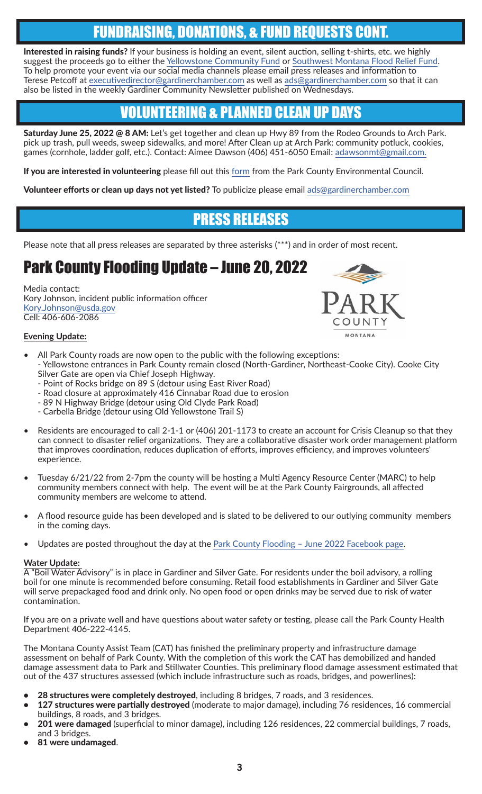## FUNDRAISING, DONATIONS, & FUND REQUESTS CONT.

Interested in raising funds? If your business is holding an event, silent auction, selling t-shirts, etc. we highly suggest the proceeds go to either the [Yellowstone Community Fund](https://www.yellowstonecommunityfund.org/) or [Southwest Montana Flood Relief Fund.](https://app.mobilecause.com/f/3u54/n?fbclid=IwAR0kuUmD5PXNBilZogjPO4RdqQv-LZZ6pJEdHQJ2m6Xaeugfi0gdR1DrlcY&vid=sn5se) To help promote your event via our social media channels please email press releases and information to Terese Petcoff at [executivedirector@gardinerchamber.com](mailto:executivedirector%40gardinerchamber.com?subject=) as well as [ads@gardinerchamber.com](mailto:ads%40gardinerchamber.com?subject=) so that it can also be listed in the weekly Gardiner Community Newsletter published on Wednesdays.

# VOLUNTEERING & PLANNED CLEAN UP DAYS

Saturday June 25, 2022 @ 8 AM: Let's get together and clean up Hwy 89 from the Rodeo Grounds to Arch Park. pick up trash, pull weeds, sweep sidewalks, and more! After Clean up at Arch Park: community potluck, cookies, games (cornhole, ladder golf, etc.). Contact: Aimee Dawson (406) 451-6050 Email: [adawsonmt@gmail.com.](mailto:adawsonmt%40gmail.com%20?subject=)

If you are interested in volunteering please fill out this [form](https://pcec.salsalabs.org/floodresponsevolunteers/index.html?eType=EmailBlastContent&eId=9c316035-fa0d-4fec-bf89-b098bc334aac) from the Park County Environmental Council.

Volunteer efforts or clean up days not yet listed? To publicize please email [ads@gardinerchamber.com](mailto:ads%40gardinerchamber.com%20?subject=)

## PRESS RELEASES

Please note that all press releases are separated by three asterisks (\*\*\*) and in order of most recent.

# Park County Flooding Update – June 20, 2022

Media contact: Kory Johnson, incident public information officer [Kory.Johnson@usda.gov](mailto:Kory.Johnson%40usda.gov?subject=) Cell: 406-606-2086

#### **Evening Update:**



- All Park County roads are now open to the public with the following exceptions: - Yellowstone entrances in Park County remain closed (North-Gardiner, Northeast-Cooke City). Cooke City Silver Gate are open via Chief Joseph Highway.
	- Point of Rocks bridge on 89 S (detour using East River Road)
	- Road closure at approximately 416 Cinnabar Road due to erosion
	- 89 N Highway Bridge (detour using Old Clyde Park Road)
	- Carbella Bridge (detour using Old Yellowstone Trail S)
- Residents are encouraged to call 2-1-1 or (406) 201-1173 to create an account for Crisis Cleanup so that they can connect to disaster relief organizations. They are a collaborative disaster work order management platform that improves coordination, reduces duplication of efforts, improves efficiency, and improves volunteers' experience.
- Tuesday 6/21/22 from 2-7pm the county will be hosting a Multi Agency Resource Center (MARC) to help community members connect with help. The event will be at the Park County Fairgrounds, all affected community members are welcome to attend.
- A flood resource guide has been developed and is slated to be delivered to our outlying community members in the coming days.
- Updates are posted throughout the day at the Park County Flooding June 2022 Facebook page.

#### **Water Update:**

 $\overline{A}$  "Boil Water Advisory" is in place in Gardiner and Silver Gate. For residents under the boil advisory, a rolling boil for one minute is recommended before consuming. Retail food establishments in Gardiner and Silver Gate will serve prepackaged food and drink only. No open food or open drinks may be served due to risk of water contamination.

If you are on a private well and have questions about water safety or testing, please call the Park County Health Department 406-222-4145.

The Montana County Assist Team (CAT) has finished the preliminary property and infrastructure damage assessment on behalf of Park County. With the completion of this work the CAT has demobilized and handed damage assessment data to Park and Stillwater Counties. This preliminary flood damage assessment estimated that out of the 437 structures assessed (which include infrastructure such as roads, bridges, and powerlines):

- 28 structures were completely destroyed, including 8 bridges, 7 roads, and 3 residences.
- 127 structures were partially destroyed (moderate to major damage), including 76 residences, 16 commercial buildings, 8 roads, and 3 bridges.
- 201 were damaged (superficial to minor damage), including 126 residences, 22 commercial buildings, 7 roads, and 3 bridges.
- 81 were undamaged.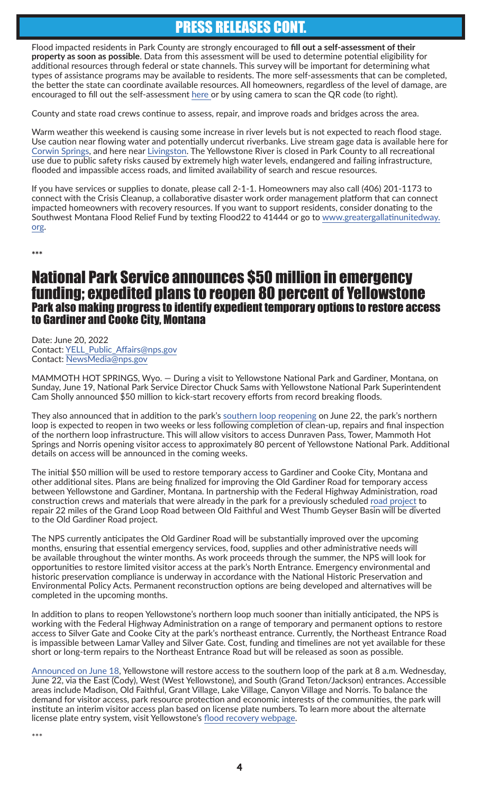## PRESS RELEASES CONT.

Flood impacted residents in Park County are strongly encouraged to **fill out a self-assessment of their property as soon as possible**. Data from this assessment will be used to determine potential eligibility for additional resources through federal or state channels. This survey will be important for determining what types of assistance programs may be available to residents. The more self-assessments that can be completed, the better the state can coordinate available resources. All homeowners, regardless of the level of damage, are encouraged to fill out the self-assessment [here](https://des.mt.gov/) or by using camera to scan the QR code (to right).

County and state road crews continue to assess, repair, and improve roads and bridges across the area.

Warm weather this weekend is causing some increase in river levels but is not expected to reach flood stage. Use caution near flowing water and potentially undercut riverbanks. Live stream gage data is available here for [Corwin Springs](https://water.weather.gov/ahps2/hydrograph.php?wfo=byz&gage=corm8), and here near [Livingston.](https://water.weather.gov/ahps2/hydrograph.php?wfo=byz&gage=livm8&view=1,1,1,1,1,1&refresh=true) The Yellowstone River is closed in Park County to all recreational use due to public safety risks caused by extremely high water levels, endangered and failing infrastructure, flooded and impassible access roads, and limited availability of search and rescue resources.

If you have services or supplies to donate, please call 2-1-1. Homeowners may also call (406) 201-1173 to connect with the Crisis Cleanup, a collaborative disaster work order management platform that can connect impacted homeowners with recovery resources. If you want to support residents, consider donating to the Southwest Montana Flood Relief Fund by texting Flood22 to 41444 or go to [www.greatergallatinunitedway.](http://www.greatergallatinunitedway.org) [org.](http://www.greatergallatinunitedway.org)

\*\*\*

#### National Park Service announces \$50 million in emergency funding; expedited plans to reopen 80 percent of Yellowstone Park also making progress to identify expedient temporary options to restore access to Gardiner and Cooke City, Montana

Date: June 20, 2022 Contact: [YELL\\_Public\\_Affairs@nps.gov](mailto:YELL_Public_Affairs%40nps.gov?subject=) Contact: [NewsMedia@nps.gov](mailto:NewsMedia%40nps.gov?subject=)

MAMMOTH HOT SPRINGS, Wyo. — During a visit to Yellowstone National Park and Gardiner, Montana, on Sunday, June 19, National Park Service Director Chuck Sams with Yellowstone National Park Superintendent Cam Sholly announced \$50 million to kick-start recovery efforts from record breaking floods.

They also announced that in addition to the park's [southern loop reopening](mailto:https://www.nps.gov/yell/learn/news/220613.htm?subject=) on June 22, the park's northern loop is expected to reopen in two weeks or less following completion of clean-up, repairs and final inspection of the northern loop infrastructure. This will allow visitors to access Dunraven Pass, Tower, Mammoth Hot Springs and Norris opening visitor access to approximately 80 percent of Yellowstone National Park. Additional details on access will be announced in the coming weeks.

The initial \$50 million will be used to restore temporary access to Gardiner and Cooke City, Montana and other additional sites. Plans are being finalized for improving the Old Gardiner Road for temporary access between Yellowstone and Gardiner, Montana. In partnership with the Federal Highway Administration, road construction crews and materials that were already in the park for a previously scheduled [road project](mailto:https://www.nps.gov/yell/planyourvisit/road-construction.htm?subject=) to repair 22 miles of the Grand Loop Road between Old Faithful and West Thumb Geyser Basin will be diverted to the Old Gardiner Road project.

The NPS currently anticipates the Old Gardiner Road will be substantially improved over the upcoming months, ensuring that essential emergency services, food, supplies and other administrative needs will be available throughout the winter months. As work proceeds through the summer, the NPS will look for opportunities to restore limited visitor access at the park's North Entrance. Emergency environmental and historic preservation compliance is underway in accordance with the National Historic Preservation and Environmental Policy Acts. Permanent reconstruction options are being developed and alternatives will be completed in the upcoming months.

In addition to plans to reopen Yellowstone's northern loop much sooner than initially anticipated, the NPS is working with the Federal Highway Administration on a range of temporary and permanent options to restore access to Silver Gate and Cooke City at the park's northeast entrance. Currently, the Northeast Entrance Road is impassible between Lamar Valley and Silver Gate. Cost, funding and timelines are not yet available for these short or long-term repairs to the Northeast Entrance Road but will be released as soon as possible.

[Announced on June 18](mailto:https://www.nps.gov/yell/learn/news/220613.htm?subject=), Yellowstone will restore access to the southern loop of the park at 8 a.m. Wednesday, June 22, via the East (Cody), West (West Yellowstone), and South (Grand Teton/Jackson) entrances. Accessible areas include Madison, Old Faithful, Grant Village, Lake Village, Canyon Village and Norris. To balance the demand for visitor access, park resource protection and economic interests of the communities, the park will institute an interim visitor access plan based on license plate numbers. To learn more about the alternate license plate entry system, visit Yellowstone's [flood recovery webpage.](mailto:https://www.nps.gov/yell/planyourvisit/flood-recovery.htm?subject=)

\*\*\*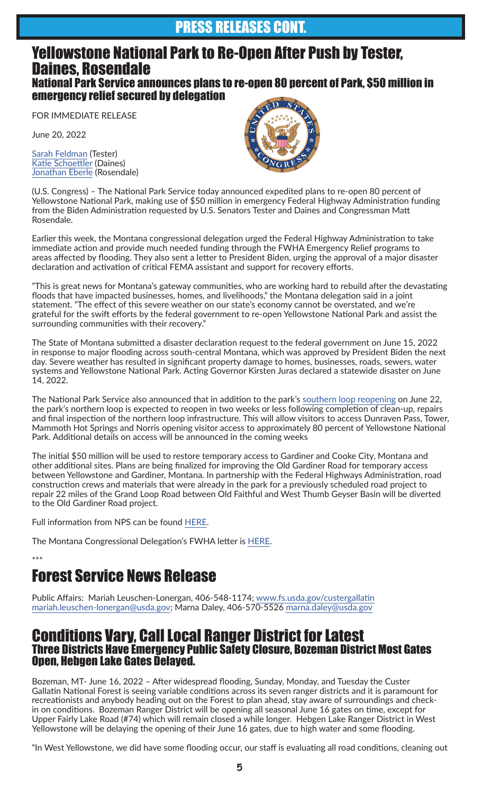### PRESS RELEASES CONT.

#### Yellowstone National Park to Re-Open After Push by Tester, Daines, Rosendale National Park Service announces plans to re-open 80 percent of Park, \$50 million in emergency relief secured by delegation

FOR IMMEDIATE RELEASE

June 20, 2022

[Sarah Feldman](mailto:Sarah_Feldman%40tester.senate.gov?subject=) (Tester) [Katie Schoettler](mailto:Katie_Schoettler%40daines.senate.gov?subject=) (Daines) [Jonathan Eberle](mailto:Jonathan.Eberle%40mail.house.gov?subject=) (Rosendale)



(U.S. Congress) – The National Park Service today announced expedited plans to re-open 80 percent of Yellowstone National Park, making use of \$50 million in emergency Federal Highway Administration funding from the Biden Administration requested by U.S. Senators Tester and Daines and Congressman Matt Rosendale.

Earlier this week, the Montana congressional delegation urged the Federal Highway Administration to take immediate action and provide much needed funding through the FWHA Emergency Relief programs to areas affected by flooding. They also sent a letter to President Biden, urging the approval of a major disaster declaration and activation of critical FEMA assistant and support for recovery efforts.

"This is great news for Montana's gateway communities, who are working hard to rebuild after the devastating floods that have impacted businesses, homes, and livelihoods," the Montana delegation said in a joint statement. "The effect of this severe weather on our state's economy cannot be overstated, and we're grateful for the swift efforts by the federal government to re-open Yellowstone National Park and assist the surrounding communities with their recovery."

The State of Montana submitted a disaster declaration request to the federal government on June 15, 2022 in response to major flooding across south-central Montana, which was approved by President Biden the next day. Severe weather has resulted in significant property damage to homes, businesses, roads, sewers, water systems and Yellowstone National Park. Acting Governor Kirsten Juras declared a statewide disaster on June 14, 2022.

The National Park Service also announced that in addition to the park's [southern loop reopening](http://southern loop reopening) on June 22, the park's northern loop is expected to reopen in two weeks or less following completion of clean-up, repairs and final inspection of the northern loop infrastructure. This will allow visitors to access Dunraven Pass, Tower, Mammoth Hot Springs and Norris opening visitor access to approximately 80 percent of Yellowstone National Park. Additional details on access will be announced in the coming weeks

The initial \$50 million will be used to restore temporary access to Gardiner and Cooke City, Montana and other additional sites. Plans are being finalized for improving the Old Gardiner Road for temporary access between Yellowstone and Gardiner, Montana. In partnership with the Federal Highways Administration, road construction crews and materials that were already in the park for a previously scheduled road project to repair 22 miles of the Grand Loop Road between Old Faithful and West Thumb Geyser Basin will be diverted to the Old Gardiner Road project.

Full information from NPS can be found [HERE.](https://billingsgazette.com/news/state-and-regional/yellowstone-officials-parks-north-entrance-may-reopen-this-summer/article_d352caee-f00f-11ec-800a-272ce971f78e.html)

The Montana Congressional Delegation's FWHA letter is [HERE.](https://www.tester.senate.gov/?p=press_release&id=9155)

\*\*\*

# Forest Service News Release

Public Affairs: Mariah Leuschen-Lonergan, 406-548-1174; [www.fs.usda.gov/custergallatin](http://www.fs.usda.gov/custergallatin ) [mariah.leuschen-lonergan@usda.gov](mailto:mariah.leuschen-lonergan%40usda.gov?subject=); Marna Daley, 406-570-5526 [marna.daley@usda.gov](mailto:marna.daley%40usda.gov%20?subject=)

#### Conditions Vary, Call Local Ranger District for Latest Three Districts Have Emergency Public Safety Closure, Bozeman District Most Gates Open, Hebgen Lake Gates Delayed.

Bozeman, MT- June 16, 2022 – After widespread flooding, Sunday, Monday, and Tuesday the Custer Gallatin National Forest is seeing variable conditions across its seven ranger districts and it is paramount for recreationists and anybody heading out on the Forest to plan ahead, stay aware of surroundings and checkin on conditions. Bozeman Ranger District will be opening all seasonal June 16 gates on time, except for Upper Fairly Lake Road (#74) which will remain closed a while longer. Hebgen Lake Ranger District in West Yellowstone will be delaying the opening of their June 16 gates, due to high water and some flooding.

"In West Yellowstone, we did have some flooding occur, our staff is evaluating all road conditions, cleaning out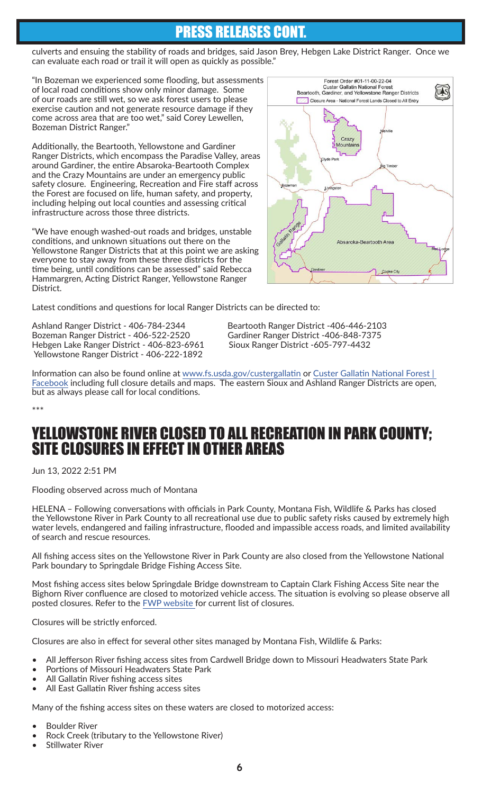## PRESS RELEASES CONT.

culverts and ensuing the stability of roads and bridges, said Jason Brey, Hebgen Lake District Ranger. Once we can evaluate each road or trail it will open as quickly as possible."

"In Bozeman we experienced some flooding, but assessments of local road conditions show only minor damage. Some of our roads are still wet, so we ask forest users to please exercise caution and not generate resource damage if they come across area that are too wet," said Corey Lewellen, Bozeman District Ranger."

Additionally, the Beartooth, Yellowstone and Gardiner Ranger Districts, which encompass the Paradise Valley, areas around Gardiner, the entire Absaroka-Beartooth Complex and the Crazy Mountains are under an emergency public safety closure. Engineering, Recreation and Fire staff across the Forest are focused on life, human safety, and property, including helping out local counties and assessing critical infrastructure across those three districts.

"We have enough washed-out roads and bridges, unstable conditions, and unknown situations out there on the Yellowstone Ranger Districts that at this point we are asking everyone to stay away from these three districts for the time being, until conditions can be assessed" said Rebecca Hammargren, Acting District Ranger, Yellowstone Ranger District.



Latest conditions and questions for local Ranger Districts can be directed to:

Ashland Ranger District - 406-784-2344 Beartooth Ranger District -406-446-2103 Bozeman Ranger District - 406-522-2520 Gardiner Ranger District -406-848-7375<br>Hebgen Lake Ranger District - 406-823-6961 Sioux Ranger District -605-797-4432 Hebgen Lake Ranger District - 406-823-6961 Yellowstone Ranger District - 406-222-1892

Information can also be found online at [www.fs.usda.gov/custergallatin](http://www.fs.usda.gov/custergallatin) or [Custer Gallatin National Forest |](https://www.facebook.com/CusterGallatinNationalForest)  [Facebook](https://www.facebook.com/CusterGallatinNationalForest) including full closure details and maps. The eastern Sioux and Ashland Ranger Districts are open, but as always please call for local conditions.

\*\*\*

### YELLOWSTONE RIVER CLOSED TO ALL RECREATION IN PARK COUNTY; SITE CLOSURES IN EFFECT IN OTHER AREAS

Jun 13, 2022 2:51 PM

Flooding observed across much of Montana

HELENA – Following conversations with officials in Park County, Montana Fish, Wildlife & Parks has closed the Yellowstone River in Park County to all recreational use due to public safety risks caused by extremely high water levels, endangered and failing infrastructure, flooded and impassible access roads, and limited availability of search and rescue resources.

All fishing access sites on the Yellowstone River in Park County are also closed from the Yellowstone National Park boundary to Springdale Bridge Fishing Access Site.

Most fishing access sites below Springdale Bridge downstream to Captain Clark Fishing Access Site near the Bighorn River confluence are closed to motorized vehicle access. The situation is evolving so please observe all posted closures. Refer to the [FWP website](https://myfwp.mt.gov/fwpPub/allRestrictions) for current list of closures.

Closures will be strictly enforced.

Closures are also in effect for several other sites managed by Montana Fish, Wildlife & Parks:

- All Jefferson River fishing access sites from Cardwell Bridge down to Missouri Headwaters State Park
- Portions of Missouri Headwaters State Park
- All Gallatin River fishing access sites
- All East Gallatin River fishing access sites

Many of the fishing access sites on these waters are closed to motorized access:

- Boulder River
- Rock Creek (tributary to the Yellowstone River)
- Stillwater River